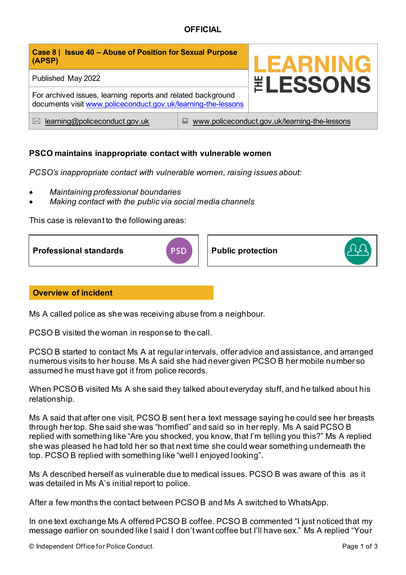## **OFFICIAL**

| Case 8   Issue 40 - Abuse of Position for Sexual Purpose<br>(APSP)                                                            |                                                    | <b>LEARNING</b><br><b><i>ELESSONS</i></b> |
|-------------------------------------------------------------------------------------------------------------------------------|----------------------------------------------------|-------------------------------------------|
| Published May 2022                                                                                                            |                                                    |                                           |
| For archived issues, learning reports and related background<br>documents visit www.policeconduct.gov.uk/learning-the-lessons |                                                    |                                           |
| learning@policeconduct.gov.uk<br>$\bowtie$                                                                                    | www.policeconduct.gov.uk/learning-the-lessons<br>닖 |                                           |

### **PSCO maintains inappropriate contact with vulnerable women**

*PCSO's inappropriate contact with vulnerable women, raising issues about:* 

- *Maintaining professional boundaries*
- *Making contact with the public via social media channels*

This case is relevant to the following areas:



#### **Overview of incident**

Ms A called police as she was receiving abuse from a neighbour.

PCSO B visited the woman in response to the call.

PCSO B started to contact Ms A at regular intervals, offer advice and assistance, and arranged numerous visits to her house. Ms A said she had never given PCSO B her mobile number so assumed he must have got it from police records.

When PCSO B visited Ms A she said they talked about everyday stuff, and he talked about his relationship.

Ms A said that after one visit, PCSO B sent her a text message saying he could see her breasts through her top. She said she was "horrified" and said so in her reply. Ms A said PCSO B replied with something like "Are you shocked, you know, that I'm telling you this?" Ms A replied she was pleased he had told her so that next time she could wear something underneath the top. PCSO B replied with something like "well I enjoyed looking".

Ms A described herself as vulnerable due to medical issues. PCSO B was aware of this as it was detailed in Ms A's initial report to police.

After a few months the contact between PCSO B and Ms A switched to WhatsApp.

In one text exchange Ms A offered PCSO B coffee. PCSO B commented "I just noticed that my message earlier on sounded like I said I don't want coffee but I'll have sex." Ms A replied "Your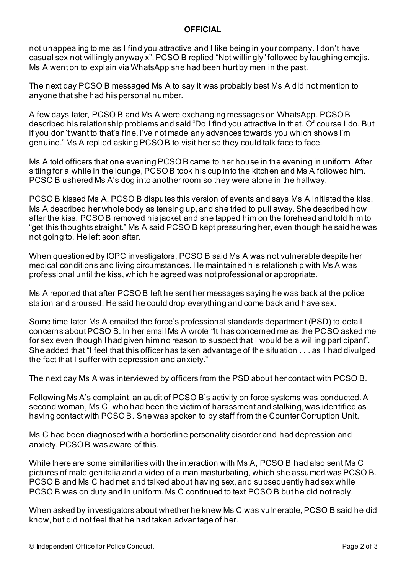#### **OFFICIAL**

not unappealing to me as I find you attractive and I like being in your company. I don't have casual sex not willingly anyway x". PCSO B replied "Not willingly" followed by laughing emojis. Ms A went on to explain via WhatsApp she had been hurt by men in the past.

The next day PCSO B messaged Ms A to say it was probably best Ms A did not mention to anyone that she had his personal number.

A few days later, PCSO B and Ms A were exchanging messages on WhatsApp. PCSO B described his relationship problems and said "Do I find you attractive in that. Of course I do. But if you don't want to that's fine. I've not made any advances towards you which shows I'm genuine." Ms A replied asking PCSO B to visit her so they could talk face to face.

Ms A told officers that one evening PCSO B came to her house in the evening in uniform. After sitting for a while in the lounge, PCSO B took his cup into the kitchen and Ms A followed him. PCSO B ushered Ms A's dog into another room so they were alone in the hallway.

PCSO B kissed Ms A. PCSO B disputes this version of events and says Ms A initiated the kiss. Ms A described her whole body as tensing up, and she tried to pull away. She described how after the kiss, PCSO B removed his jacket and she tapped him on the forehead and told him to "get this thoughts straight." Ms A said PCSO B kept pressuring her, even though he said he was not going to. He left soon after.

When questioned by IOPC investigators, PCSO B said Ms A was not vulnerable despite her medical conditions and living circumstances. He maintained his relationship with Ms A was professional until the kiss, which he agreed was not professional or appropriate.

Ms A reported that after PCSO B left he sent her messages saying he was back at the police station and aroused. He said he could drop everything and come back and have sex.

Some time later Ms A emailed the force's professional standards department (PSD) to detail concerns about PCSO B. In her email Ms A wrote "It has concerned me as the PCSO asked me for sex even though I had given him no reason to suspect that I would be a willing participant". She added that "I feel that this officer has taken advantage of the situation . . . as I had divulged the fact that I suffer with depression and anxiety."

The next day Ms A was interviewed by officers from the PSD about her contact with PCSO B.

Following Ms A's complaint, an audit of PCSO B's activity on force systems was conducted. A second woman, Ms C, who had been the victim of harassment and stalking, was identified as having contact with PCSO B. She was spoken to by staff from the Counter Corruption Unit.

Ms C had been diagnosed with a borderline personality disorder and had depression and anxiety. PCSO B was aware of this.

While there are some similarities with the interaction with Ms A, PCSO B had also sent Ms C pictures of male genitalia and a video of a man masturbating, which she assumed was PCSO B. PCSO B and Ms C had met and talked about having sex, and subsequently had sex while PCSO B was on duty and in uniform. Ms C continued to text PCSO B but he did not reply.

When asked by investigators about whether he knew Ms C was vulnerable, PCSO B said he did know, but did not feel that he had taken advantage of her.